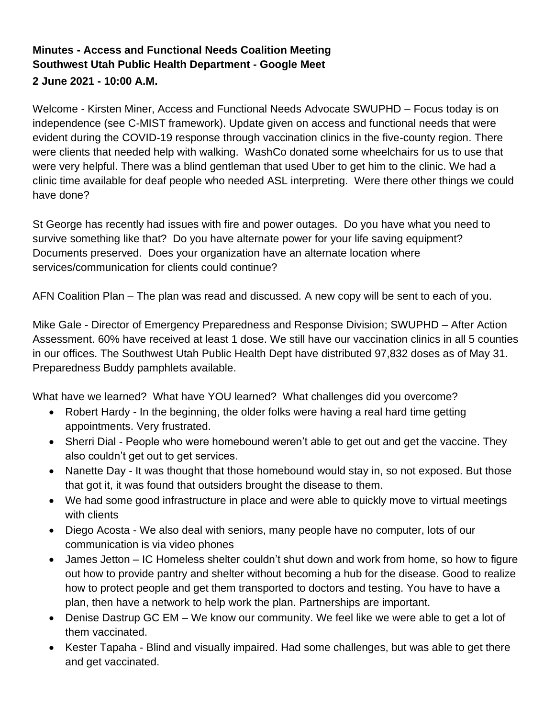## **Minutes - Access and Functional Needs Coalition Meeting Southwest Utah Public Health Department - Google Meet 2 June 2021 - 10:00 A.M.**

Welcome - Kirsten Miner, Access and Functional Needs Advocate SWUPHD – Focus today is on independence (see C-MIST framework). Update given on access and functional needs that were evident during the COVID-19 response through vaccination clinics in the five-county region. There were clients that needed help with walking. WashCo donated some wheelchairs for us to use that were very helpful. There was a blind gentleman that used Uber to get him to the clinic. We had a clinic time available for deaf people who needed ASL interpreting. Were there other things we could have done?

St George has recently had issues with fire and power outages. Do you have what you need to survive something like that? Do you have alternate power for your life saving equipment? Documents preserved. Does your organization have an alternate location where services/communication for clients could continue?

AFN Coalition Plan – The plan was read and discussed. A new copy will be sent to each of you.

Mike Gale - Director of Emergency Preparedness and Response Division; SWUPHD – After Action Assessment. 60% have received at least 1 dose. We still have our vaccination clinics in all 5 counties in our offices. The Southwest Utah Public Health Dept have distributed 97,832 doses as of May 31. Preparedness Buddy pamphlets available.

What have we learned? What have YOU learned? What challenges did you overcome?

- Robert Hardy In the beginning, the older folks were having a real hard time getting appointments. Very frustrated.
- Sherri Dial People who were homebound weren't able to get out and get the vaccine. They also couldn't get out to get services.
- Nanette Day It was thought that those homebound would stay in, so not exposed. But those that got it, it was found that outsiders brought the disease to them.
- We had some good infrastructure in place and were able to quickly move to virtual meetings with clients
- Diego Acosta We also deal with seniors, many people have no computer, lots of our communication is via video phones
- James Jetton IC Homeless shelter couldn't shut down and work from home, so how to figure out how to provide pantry and shelter without becoming a hub for the disease. Good to realize how to protect people and get them transported to doctors and testing. You have to have a plan, then have a network to help work the plan. Partnerships are important.
- Denise Dastrup GC EM We know our community. We feel like we were able to get a lot of them vaccinated.
- Kester Tapaha Blind and visually impaired. Had some challenges, but was able to get there and get vaccinated.